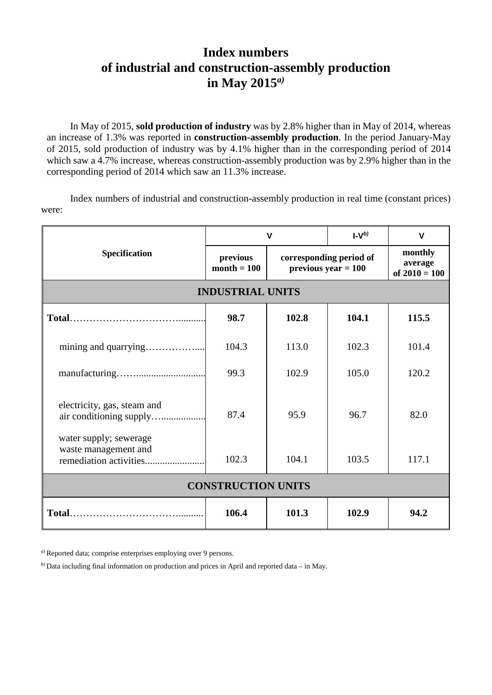## **Index numbers of industrial and construction-assembly production in May 2015***a)*

In May of 2015, **sold production of industry** was by 2.8% higher than in May of 2014, whereas an increase of 1.3% was reported in **construction-assembly production**. In the period January-May of 2015, sold production of industry was by 4.1% higher than in the corresponding period of 2014 which saw a 4.7% increase, whereas construction-assembly production was by 2.9% higher than in the corresponding period of 2014 which saw an 11.3% increase.

Index numbers of industrial and construction-assembly production in real time (constant prices) were:

| <b>Specification</b>                           | $\mathbf v$               |                                                  | $I-Vp$ | $\mathbf v$                           |
|------------------------------------------------|---------------------------|--------------------------------------------------|--------|---------------------------------------|
|                                                | previous<br>$month = 100$ | corresponding period of<br>previous year $= 100$ |        | monthly<br>average<br>of $2010 = 100$ |
| <b>INDUSTRIAL UNITS</b>                        |                           |                                                  |        |                                       |
|                                                | 98.7                      | 102.8                                            | 104.1  | 115.5                                 |
|                                                | 104.3                     | 113.0                                            | 102.3  | 101.4                                 |
|                                                | 99.3                      | 102.9                                            | 105.0  | 120.2                                 |
| electricity, gas, steam and                    | 87.4                      | 95.9                                             | 96.7   | 82.0                                  |
| water supply; sewerage<br>waste management and | 102.3                     | 104.1                                            | 103.5  | 117.1                                 |
| <b>CONSTRUCTION UNITS</b>                      |                           |                                                  |        |                                       |
|                                                | 106.4                     | 101.3                                            | 102.9  | 94.2                                  |

*a)* Reported data; comprise enterprises employing over 9 persons.

*b)* Data including final information on production and prices in April and reported data – in May.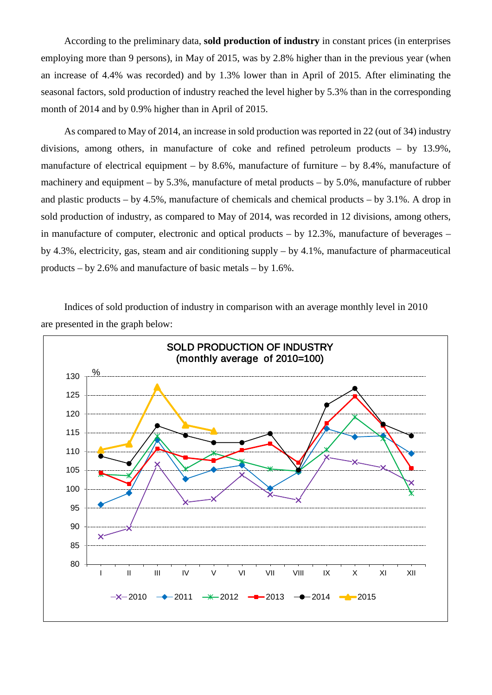According to the preliminary data, **sold production of industry** in constant prices (in enterprises employing more than 9 persons), in May of 2015, was by 2.8% higher than in the previous year (when an increase of 4.4% was recorded) and by 1.3% lower than in April of 2015. After eliminating the seasonal factors, sold production of industry reached the level higher by 5.3% than in the corresponding month of 2014 and by 0.9% higher than in April of 2015.

As compared to May of 2014, an increase in sold production was reported in 22 (out of 34) industry divisions, among others, in manufacture of coke and refined petroleum products – by 13.9%, manufacture of electrical equipment – by 8.6%, manufacture of furniture – by 8.4%, manufacture of machinery and equipment – by 5.3%, manufacture of metal products – by 5.0%, manufacture of rubber and plastic products – by 4.5%, manufacture of chemicals and chemical products – by 3.1%. A drop in sold production of industry, as compared to May of 2014, was recorded in 12 divisions, among others, in manufacture of computer, electronic and optical products – by 12.3%, manufacture of beverages – by 4.3%, electricity, gas, steam and air conditioning supply – by 4.1%, manufacture of pharmaceutical products – by 2.6% and manufacture of basic metals – by 1.6%.

Indices of sold production of industry in comparison with an average monthly level in 2010 are presented in the graph below: